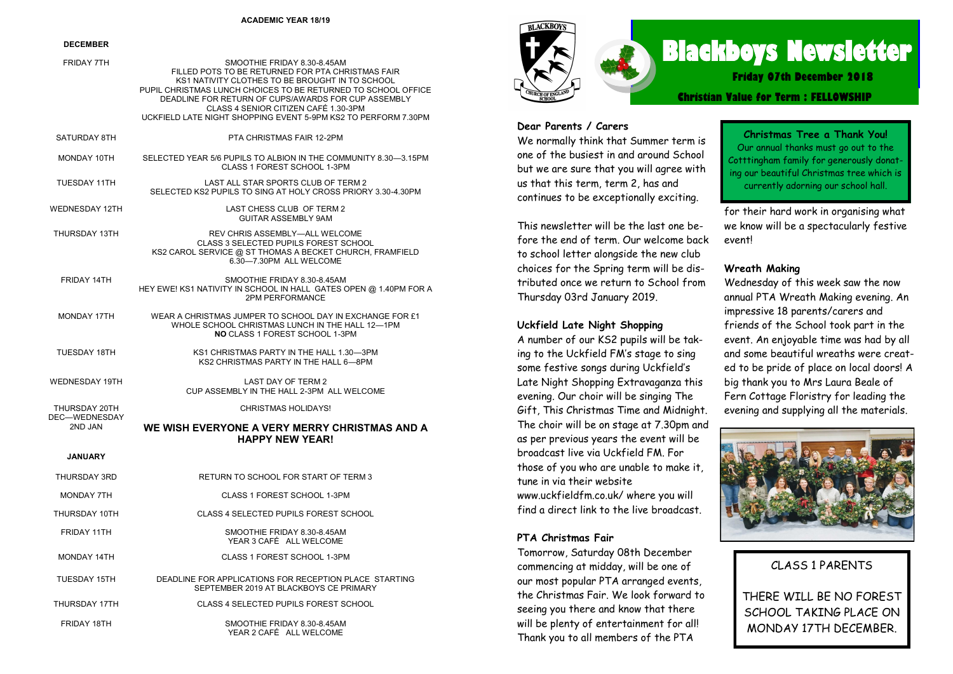#### **ACADEMIC YEAR 18/19**

#### **DECEMBER**

| <b>FRIDAY 7TH</b>                         | SMOOTHIE FRIDAY 8.30-8.45AM<br>FILLED POTS TO BE RETURNED FOR PTA CHRISTMAS FAIR<br>KS1 NATIVITY CLOTHES TO BE BROUGHT IN TO SCHOOL<br>PUPIL CHRISTMAS LUNCH CHOICES TO BE RETURNED TO SCHOOL OFFICE<br>DEADLINE FOR RETURN OF CUPS/AWARDS FOR CUP ASSEMBLY<br>CLASS 4 SENIOR CITIZEN CAFÉ 1.30-3PM<br>UCKFIELD LATE NIGHT SHOPPING EVENT 5-9PM KS2 TO PERFORM 7.30PM |
|-------------------------------------------|-----------------------------------------------------------------------------------------------------------------------------------------------------------------------------------------------------------------------------------------------------------------------------------------------------------------------------------------------------------------------|
| SATURDAY 8TH                              | PTA CHRISTMAS FAIR 12-2PM                                                                                                                                                                                                                                                                                                                                             |
| MONDAY 10TH                               | SELECTED YEAR 5/6 PUPILS TO ALBION IN THE COMMUNITY 8.30-3.15PM<br>CLASS 1 FOREST SCHOOL 1-3PM                                                                                                                                                                                                                                                                        |
| <b>TUESDAY 11TH</b>                       | LAST ALL STAR SPORTS CLUB OF TERM 2<br>SELECTED KS2 PUPILS TO SING AT HOLY CROSS PRIORY 3.30-4.30PM                                                                                                                                                                                                                                                                   |
| <b>WEDNESDAY 12TH</b>                     | LAST CHESS CLUB OF TERM 2<br><b>GUITAR ASSEMBLY 9AM</b>                                                                                                                                                                                                                                                                                                               |
| THURSDAY 13TH                             | REV CHRIS ASSEMBLY-ALL WELCOME<br>CLASS 3 SELECTED PUPILS FOREST SCHOOL<br>KS2 CAROL SERVICE @ ST THOMAS A BECKET CHURCH, FRAMFIELD<br>6.30-7.30PM ALL WELCOME                                                                                                                                                                                                        |
| FRIDAY 14TH                               | SMOOTHIE FRIDAY 8.30-8.45AM<br>HEY EWE! KS1 NATIVITY IN SCHOOL IN HALL GATES OPEN @ 1.40PM FOR A<br><b>2PM PERFORMANCE</b>                                                                                                                                                                                                                                            |
| <b>MONDAY 17TH</b>                        | WEAR A CHRISTMAS JUMPER TO SCHOOL DAY IN EXCHANGE FOR £1<br>WHOLE SCHOOL CHRISTMAS LUNCH IN THE HALL 12-1PM<br>NO CLASS 1 FOREST SCHOOL 1-3PM                                                                                                                                                                                                                         |
| <b>TUESDAY 18TH</b>                       | KS1 CHRISTMAS PARTY IN THE HALL 1.30-3PM<br>KS2 CHRISTMAS PARTY IN THE HALL 6-8PM                                                                                                                                                                                                                                                                                     |
| <b>WEDNESDAY 19TH</b>                     | LAST DAY OF TERM 2<br>CUP ASSEMBLY IN THE HALL 2-3PM ALL WELCOME                                                                                                                                                                                                                                                                                                      |
| THURSDAY 20TH<br>DEC-WEDNESDAY<br>2ND JAN | <b>CHRISTMAS HOLIDAYS!</b>                                                                                                                                                                                                                                                                                                                                            |
|                                           | WE WISH EVERYONE A VERY MERRY CHRISTMAS AND A<br><b>HAPPY NEW YEAR!</b>                                                                                                                                                                                                                                                                                               |
| <b>JANUARY</b>                            |                                                                                                                                                                                                                                                                                                                                                                       |
| THURSDAY 3RD                              | RETURN TO SCHOOL FOR START OF TERM 3                                                                                                                                                                                                                                                                                                                                  |
| <b>MONDAY 7TH</b>                         | CLASS 1 FOREST SCHOOL 1-3PM                                                                                                                                                                                                                                                                                                                                           |
| THURSDAY 10TH                             | CLASS 4 SELECTED PUPILS FOREST SCHOOL                                                                                                                                                                                                                                                                                                                                 |
| FRIDAY 11TH                               | SMOOTHIE FRIDAY 8.30-8.45AM<br>YEAR 3 CAFÉ ALL WELCOME                                                                                                                                                                                                                                                                                                                |
| <b>MONDAY 14TH</b>                        | CLASS 1 FOREST SCHOOL 1-3PM                                                                                                                                                                                                                                                                                                                                           |
| <b>TUESDAY 15TH</b>                       | DEADLINE FOR APPLICATIONS FOR RECEPTION PLACE STARTING<br>SEPTEMBER 2019 AT BLACKBOYS CE PRIMARY                                                                                                                                                                                                                                                                      |
| THURSDAY 17TH                             | CLASS 4 SELECTED PUPILS FOREST SCHOOL                                                                                                                                                                                                                                                                                                                                 |
| FRIDAY 18TH                               | SMOOTHIE FRIDAY 8.30-8.45AM<br>YEAR 2 CAFÉ ALL WELCOME                                                                                                                                                                                                                                                                                                                |



# **Blackboys Newsletter**

**Friday 07th December 2018**

**Christian Value for Term : FELLOWSHIP**

#### **Dear Parents / Carers**

We normally think that Summer term is one of the busiest in and around School but we are sure that you will agree with us that this term, term 2, has and continues to be exceptionally exciting.

This newsletter will be the last one before the end of term. Our welcome back to school letter alongside the new club choices for the Spring term will be distributed once we return to School from Thursday 03rd January 2019.

## **Uckfield Late Night Shopping**

A number of our KS2 pupils will be taking to the Uckfield FM's stage to sing some festive songs during Uckfield's Late Night Shopping Extravaganza this evening. Our choir will be singing The Gift, This Christmas Time and Midnight. The choir will be on stage at 7.30pm and as per previous years the event will be broadcast live via Uckfield FM. For those of you who are unable to make it, tune in via their website www.uckfieldfm.co.uk/ where you will find a direct link to the live broadcast.

# **PTA Christmas Fair**

Tomorrow, Saturday 08th December commencing at midday, will be one of our most popular PTA arranged events, the Christmas Fair. We look forward to seeing you there and know that there will be plenty of entertainment for all! Thank you to all members of the PTA

## **Christmas Tree a Thank You!**

Our annual thanks must go out to the Cotttingham family for generously donating our beautiful Christmas tree which is currently adorning our school hall.

for their hard work in organising what we know will be a spectacularly festive event!

## **Wreath Making**

Wednesday of this week saw the now annual PTA Wreath Making evening. An impressive 18 parents/carers and friends of the School took part in the event. An enjoyable time was had by all and some beautiful wreaths were created to be pride of place on local doors! A big thank you to Mrs Laura Beale of Fern Cottage Floristry for leading the evening and supplying all the materials.



THERE WILL BE NO FOREST SCHOOL TAKING PLACE ON MONDAY 17TH DECEMBER.

CLASS 1 PARENTS